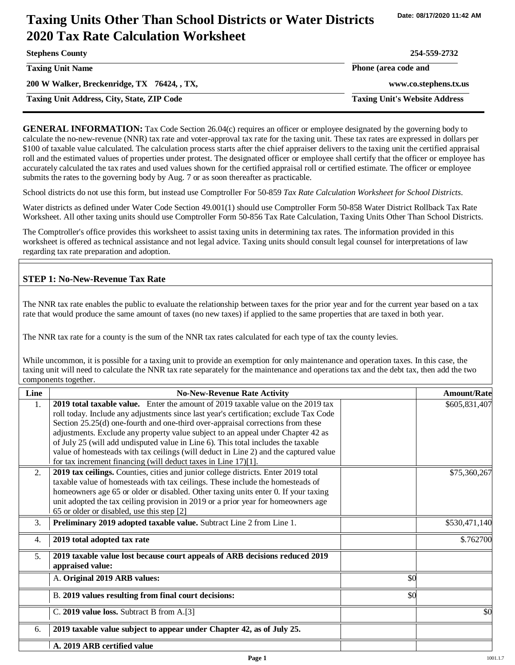# **Taxing Units Other Than School Districts or Water Districts 2020 Tax Rate Calculation Worksheet**

| <b>Stephens County</b>                            | 254-559-2732                         |
|---------------------------------------------------|--------------------------------------|
| <b>Taxing Unit Name</b>                           | Phone (area code and                 |
| 200 W Walker, Breckenridge, TX 76424, , TX,       | www.co.stephens.tx.us                |
| <b>Taxing Unit Address, City, State, ZIP Code</b> | <b>Taxing Unit's Website Address</b> |

**GENERAL INFORMATION:** Tax Code Section 26.04(c) requires an officer or employee designated by the governing body to calculate the no-new-revenue (NNR) tax rate and voter-approval tax rate for the taxing unit. These tax rates are expressed in dollars per \$100 of taxable value calculated. The calculation process starts after the chief appraiser delivers to the taxing unit the certified appraisal roll and the estimated values of properties under protest. The designated officer or employee shall certify that the officer or employee has accurately calculated the tax rates and used values shown for the certified appraisal roll or certified estimate. The officer or employee submits the rates to the governing body by Aug. 7 or as soon thereafter as practicable.

School districts do not use this form, but instead use Comptroller For 50-859 *Tax Rate Calculation Worksheet for School Districts*.

Water districts as defined under Water Code Section 49.001(1) should use Comptroller Form 50-858 Water District Rollback Tax Rate Worksheet. All other taxing units should use Comptroller Form 50-856 Tax Rate Calculation, Taxing Units Other Than School Districts.

The Comptroller's office provides this worksheet to assist taxing units in determining tax rates. The information provided in this worksheet is offered as technical assistance and not legal advice. Taxing units should consult legal counsel for interpretations of law regarding tax rate preparation and adoption.

#### **STEP 1: No-New-Revenue Tax Rate**

The NNR tax rate enables the public to evaluate the relationship between taxes for the prior year and for the current year based on a tax rate that would produce the same amount of taxes (no new taxes) if applied to the same properties that are taxed in both year.

The NNR tax rate for a county is the sum of the NNR tax rates calculated for each type of tax the county levies.

While uncommon, it is possible for a taxing unit to provide an exemption for only maintenance and operation taxes. In this case, the taxing unit will need to calculate the NNR tax rate separately for the maintenance and operations tax and the debt tax, then add the two components together.

| Line           | <b>No-New-Revenue Rate Activity</b>                                                             |     | <b>Amount/Rate</b> |
|----------------|-------------------------------------------------------------------------------------------------|-----|--------------------|
| $\mathbf{1}$ . | 2019 total taxable value. Enter the amount of 2019 taxable value on the 2019 tax                |     | \$605,831,407      |
|                | roll today. Include any adjustments since last year's certification; exclude Tax Code           |     |                    |
|                | Section 25.25(d) one-fourth and one-third over-appraisal corrections from these                 |     |                    |
|                | adjustments. Exclude any property value subject to an appeal under Chapter 42 as                |     |                    |
|                | of July 25 (will add undisputed value in Line 6). This total includes the taxable               |     |                    |
|                | value of homesteads with tax ceilings (will deduct in Line 2) and the captured value            |     |                    |
|                | for tax increment financing (will deduct taxes in Line 17)[1].                                  |     |                    |
| 2.             | 2019 tax ceilings. Counties, cities and junior college districts. Enter 2019 total              |     | \$75,360,267       |
|                | taxable value of homesteads with tax ceilings. These include the homesteads of                  |     |                    |
|                | homeowners age 65 or older or disabled. Other taxing units enter 0. If your taxing              |     |                    |
|                | unit adopted the tax ceiling provision in 2019 or a prior year for homeowners age               |     |                    |
|                | 65 or older or disabled, use this step [2]                                                      |     |                    |
| 3.             | Preliminary 2019 adopted taxable value. Subtract Line 2 from Line 1.                            |     | \$530,471,140      |
| 4.             | 2019 total adopted tax rate                                                                     |     | \$.762700          |
| 5.             | 2019 taxable value lost because court appeals of ARB decisions reduced 2019<br>appraised value: |     |                    |
|                | A. Original 2019 ARB values:                                                                    | \$0 |                    |
|                | B. 2019 values resulting from final court decisions:                                            | \$0 |                    |
|                | C. 2019 value loss. Subtract B from A.[3]                                                       |     | \$0                |
| 6.             | 2019 taxable value subject to appear under Chapter 42, as of July 25.                           |     |                    |
|                | A. 2019 ARB certified value                                                                     |     |                    |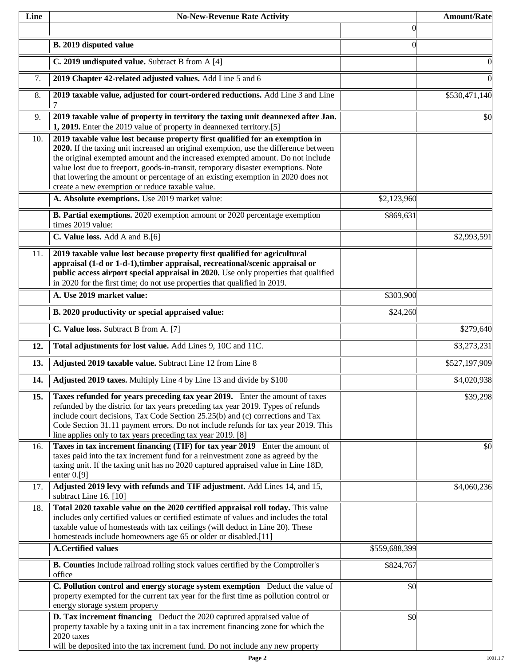| Line | <b>No-New-Revenue Rate Activity</b>                                                                                                                                                                                                                                                                                                                                                                                                                                                |               | <b>Amount/Rate</b> |
|------|------------------------------------------------------------------------------------------------------------------------------------------------------------------------------------------------------------------------------------------------------------------------------------------------------------------------------------------------------------------------------------------------------------------------------------------------------------------------------------|---------------|--------------------|
|      |                                                                                                                                                                                                                                                                                                                                                                                                                                                                                    | $\Omega$      |                    |
|      | B. 2019 disputed value                                                                                                                                                                                                                                                                                                                                                                                                                                                             | $\Omega$      |                    |
|      | C. 2019 undisputed value. Subtract B from A [4]                                                                                                                                                                                                                                                                                                                                                                                                                                    |               |                    |
| 7.   | 2019 Chapter 42-related adjusted values. Add Line 5 and 6                                                                                                                                                                                                                                                                                                                                                                                                                          |               |                    |
| 8.   | 2019 taxable value, adjusted for court-ordered reductions. Add Line 3 and Line<br>$\tau$                                                                                                                                                                                                                                                                                                                                                                                           |               | \$530,471,140      |
| 9.   | 2019 taxable value of property in territory the taxing unit deannexed after Jan.<br>1, 2019. Enter the 2019 value of property in deannexed territory.[5]                                                                                                                                                                                                                                                                                                                           |               | \$0                |
| 10.  | 2019 taxable value lost because property first qualified for an exemption in<br>2020. If the taxing unit increased an original exemption, use the difference between<br>the original exempted amount and the increased exempted amount. Do not include<br>value lost due to freeport, goods-in-transit, temporary disaster exemptions. Note<br>that lowering the amount or percentage of an existing exemption in 2020 does not<br>create a new exemption or reduce taxable value. |               |                    |
|      | A. Absolute exemptions. Use 2019 market value:                                                                                                                                                                                                                                                                                                                                                                                                                                     | \$2,123,960   |                    |
|      | <b>B. Partial exemptions.</b> 2020 exemption amount or 2020 percentage exemption<br>times 2019 value:                                                                                                                                                                                                                                                                                                                                                                              | \$869,631     |                    |
|      | C. Value loss. Add A and B.[6]                                                                                                                                                                                                                                                                                                                                                                                                                                                     |               | \$2,993,591        |
| 11.  | 2019 taxable value lost because property first qualified for agricultural<br>appraisal (1-d or 1-d-1), timber appraisal, recreational/scenic appraisal or<br>public access airport special appraisal in 2020. Use only properties that qualified<br>in 2020 for the first time; do not use properties that qualified in 2019.                                                                                                                                                      |               |                    |
|      | A. Use 2019 market value:                                                                                                                                                                                                                                                                                                                                                                                                                                                          | \$303,900     |                    |
|      | B. 2020 productivity or special appraised value:                                                                                                                                                                                                                                                                                                                                                                                                                                   | \$24,260      |                    |
|      | C. Value loss. Subtract B from A. [7]                                                                                                                                                                                                                                                                                                                                                                                                                                              |               | \$279,640          |
| 12.  | Total adjustments for lost value. Add Lines 9, 10C and 11C.                                                                                                                                                                                                                                                                                                                                                                                                                        |               | \$3,273,231        |
| 13.  | Adjusted 2019 taxable value. Subtract Line 12 from Line 8                                                                                                                                                                                                                                                                                                                                                                                                                          |               | \$527,197,909      |
| 14.  | Adjusted 2019 taxes. Multiply Line 4 by Line 13 and divide by \$100                                                                                                                                                                                                                                                                                                                                                                                                                |               | \$4,020,938        |
| 15.  | Taxes refunded for years preceding tax year 2019. Enter the amount of taxes<br>refunded by the district for tax years preceding tax year 2019. Types of refunds<br>include court decisions, Tax Code Section 25.25(b) and (c) corrections and Tax<br>Code Section 31.11 payment errors. Do not include refunds for tax year 2019. This<br>line applies only to tax years preceding tax year 2019. [8]                                                                              |               | \$39,298           |
| 16.  | Taxes in tax increment financing (TIF) for tax year 2019 Enter the amount of<br>taxes paid into the tax increment fund for a reinvestment zone as agreed by the<br>taxing unit. If the taxing unit has no 2020 captured appraised value in Line 18D,<br>enter $0. [9]$                                                                                                                                                                                                             |               | \$0                |
| 17.  | Adjusted 2019 levy with refunds and TIF adjustment. Add Lines 14, and 15,<br>subtract Line 16. [10]                                                                                                                                                                                                                                                                                                                                                                                |               | \$4,060,236        |
| 18.  | Total 2020 taxable value on the 2020 certified appraisal roll today. This value<br>includes only certified values or certified estimate of values and includes the total<br>taxable value of homesteads with tax ceilings (will deduct in Line 20). These                                                                                                                                                                                                                          |               |                    |
|      | homesteads include homeowners age 65 or older or disabled.[11]<br><b>A.Certified values</b>                                                                                                                                                                                                                                                                                                                                                                                        | \$559,688,399 |                    |
|      | B. Counties Include railroad rolling stock values certified by the Comptroller's                                                                                                                                                                                                                                                                                                                                                                                                   | \$824,767     |                    |
|      | office                                                                                                                                                                                                                                                                                                                                                                                                                                                                             |               |                    |
|      | C. Pollution control and energy storage system exemption Deduct the value of<br>property exempted for the current tax year for the first time as pollution control or<br>energy storage system property                                                                                                                                                                                                                                                                            | \$0           |                    |
|      | <b>D. Tax increment financing</b> Deduct the 2020 captured appraised value of<br>property taxable by a taxing unit in a tax increment financing zone for which the<br>2020 taxes<br>will be deposited into the tax increment fund. Do not include any new property                                                                                                                                                                                                                 | \$0           |                    |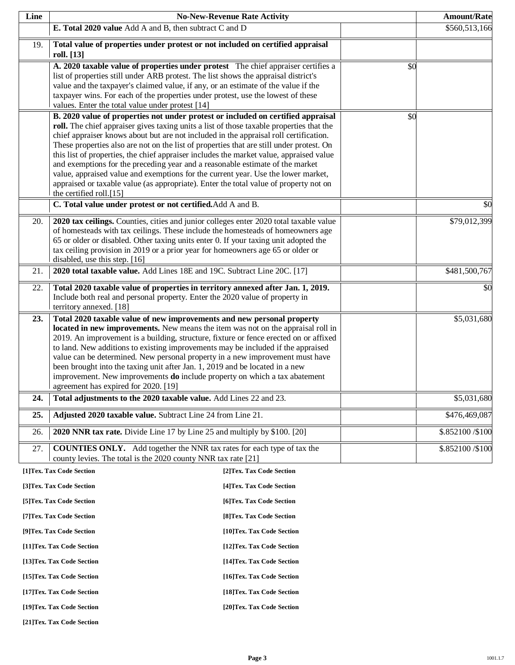| Line | <b>No-New-Revenue Rate Activity</b>                                                                                                                                                                                                                                                                                                                                                                                                                                                                                                                                                                                                                                                                                                                    |                            |     | <b>Amount/Rate</b> |
|------|--------------------------------------------------------------------------------------------------------------------------------------------------------------------------------------------------------------------------------------------------------------------------------------------------------------------------------------------------------------------------------------------------------------------------------------------------------------------------------------------------------------------------------------------------------------------------------------------------------------------------------------------------------------------------------------------------------------------------------------------------------|----------------------------|-----|--------------------|
|      | E. Total 2020 value Add A and B, then subtract C and D                                                                                                                                                                                                                                                                                                                                                                                                                                                                                                                                                                                                                                                                                                 |                            |     | \$560,513,166      |
| 19.  | Total value of properties under protest or not included on certified appraisal<br>roll. [13]                                                                                                                                                                                                                                                                                                                                                                                                                                                                                                                                                                                                                                                           |                            |     |                    |
|      | A. 2020 taxable value of properties under protest The chief appraiser certifies a<br>list of properties still under ARB protest. The list shows the appraisal district's<br>value and the taxpayer's claimed value, if any, or an estimate of the value if the<br>taxpayer wins. For each of the properties under protest, use the lowest of these<br>values. Enter the total value under protest [14]                                                                                                                                                                                                                                                                                                                                                 |                            | \$0 |                    |
|      | B. 2020 value of properties not under protest or included on certified appraisal<br>roll. The chief appraiser gives taxing units a list of those taxable properties that the<br>chief appraiser knows about but are not included in the appraisal roll certification.<br>These properties also are not on the list of properties that are still under protest. On<br>this list of properties, the chief appraiser includes the market value, appraised value<br>and exemptions for the preceding year and a reasonable estimate of the market<br>value, appraised value and exemptions for the current year. Use the lower market,<br>appraised or taxable value (as appropriate). Enter the total value of property not on<br>the certified roll.[15] |                            | \$0 |                    |
|      | C. Total value under protest or not certified. Add A and B.                                                                                                                                                                                                                                                                                                                                                                                                                                                                                                                                                                                                                                                                                            |                            |     | \$0                |
| 20.  | 2020 tax ceilings. Counties, cities and junior colleges enter 2020 total taxable value<br>of homesteads with tax ceilings. These include the homesteads of homeowners age<br>65 or older or disabled. Other taxing units enter 0. If your taxing unit adopted the<br>tax ceiling provision in 2019 or a prior year for homeowners age 65 or older or<br>disabled, use this step. [16]                                                                                                                                                                                                                                                                                                                                                                  |                            |     | \$79,012,399       |
| 21.  | 2020 total taxable value. Add Lines 18E and 19C. Subtract Line 20C. [17]                                                                                                                                                                                                                                                                                                                                                                                                                                                                                                                                                                                                                                                                               |                            |     | \$481,500,767      |
| 22.  | Total 2020 taxable value of properties in territory annexed after Jan. 1, 2019.<br>Include both real and personal property. Enter the 2020 value of property in<br>territory annexed. [18]                                                                                                                                                                                                                                                                                                                                                                                                                                                                                                                                                             |                            |     | \$0                |
| 23.  | Total 2020 taxable value of new improvements and new personal property<br>located in new improvements. New means the item was not on the appraisal roll in<br>2019. An improvement is a building, structure, fixture or fence erected on or affixed<br>to land. New additions to existing improvements may be included if the appraised<br>value can be determined. New personal property in a new improvement must have<br>been brought into the taxing unit after Jan. 1, 2019 and be located in a new<br>improvement. New improvements do include property on which a tax abatement<br>agreement has expired for 2020. [19]                                                                                                                         |                            |     | \$5,031,680        |
| 24.  | Total adjustments to the 2020 taxable value. Add Lines 22 and 23.                                                                                                                                                                                                                                                                                                                                                                                                                                                                                                                                                                                                                                                                                      |                            |     | \$5,031,680        |
| 25.  | Adjusted 2020 taxable value. Subtract Line 24 from Line 21.                                                                                                                                                                                                                                                                                                                                                                                                                                                                                                                                                                                                                                                                                            |                            |     | \$476,469,087      |
| 26.  | 2020 NNR tax rate. Divide Line 17 by Line 25 and multiply by \$100. [20]                                                                                                                                                                                                                                                                                                                                                                                                                                                                                                                                                                                                                                                                               |                            |     | \$.852100/\$100    |
| 27.  | <b>COUNTIES ONLY.</b> Add together the NNR tax rates for each type of tax the<br>county levies. The total is the 2020 county NNR tax rate [21]                                                                                                                                                                                                                                                                                                                                                                                                                                                                                                                                                                                                         |                            |     | \$.852100/\$100    |
|      | [1]Tex. Tax Code Section                                                                                                                                                                                                                                                                                                                                                                                                                                                                                                                                                                                                                                                                                                                               | [2]Tex. Tax Code Section   |     |                    |
|      | [3]Tex. Tax Code Section                                                                                                                                                                                                                                                                                                                                                                                                                                                                                                                                                                                                                                                                                                                               | [4] Tex. Tax Code Section  |     |                    |
|      | [5] Tex. Tax Code Section                                                                                                                                                                                                                                                                                                                                                                                                                                                                                                                                                                                                                                                                                                                              | [6] Tex. Tax Code Section  |     |                    |
|      | [7] Tex. Tax Code Section                                                                                                                                                                                                                                                                                                                                                                                                                                                                                                                                                                                                                                                                                                                              | [8] Tex. Tax Code Section  |     |                    |
|      | [9]Tex. Tax Code Section                                                                                                                                                                                                                                                                                                                                                                                                                                                                                                                                                                                                                                                                                                                               | [10]Tex. Tax Code Section  |     |                    |
|      | [11]Tex. Tax Code Section                                                                                                                                                                                                                                                                                                                                                                                                                                                                                                                                                                                                                                                                                                                              | [12] Tex. Tax Code Section |     |                    |

**[13]Tex. Tax Code Section [14]Tex. Tax Code Section** 

**[15]Tex. Tax Code Section [16]Tex. Tax Code Section** 

**[17]Tex. Tax Code Section [18]Tex. Tax Code Section** 

**[19]Tex. Tax Code Section [20]Tex. Tax Code Section** 

**[21]Tex. Tax Code Section**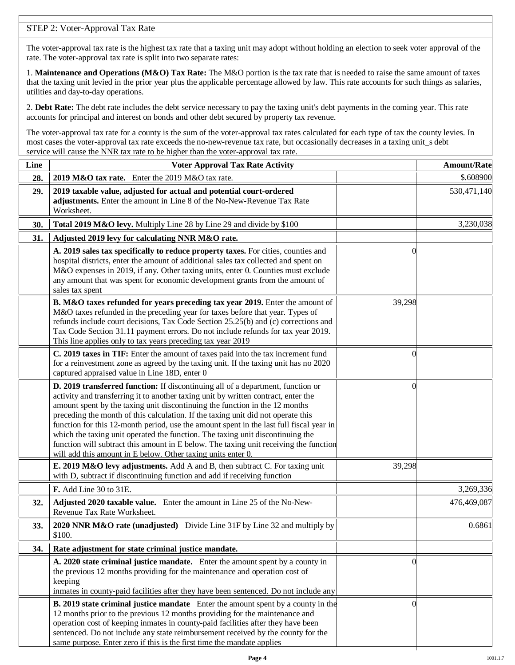### STEP 2: Voter-Approval Tax Rate

The voter-approval tax rate is the highest tax rate that a taxing unit may adopt without holding an election to seek voter approval of the rate. The voter-approval tax rate is split into two separate rates:

1. **Maintenance and Operations (M&O) Tax Rate:** The M&O portion is the tax rate that is needed to raise the same amount of taxes that the taxing unit levied in the prior year plus the applicable percentage allowed by law. This rate accounts for such things as salaries, utilities and day-to-day operations.

2. **Debt Rate:** The debt rate includes the debt service necessary to pay the taxing unit's debt payments in the coming year. This rate accounts for principal and interest on bonds and other debt secured by property tax revenue.

The voter-approval tax rate for a county is the sum of the voter-approval tax rates calculated for each type of tax the county levies. In most cases the voter-approval tax rate exceeds the no-new-revenue tax rate, but occasionally decreases in a taxing unit\_s debt service will cause the NNR tax rate to be higher than the voter-approval tax rate.

| Line | <b>Voter Approval Tax Rate Activity</b>                                                                                                                                                                                                                                                                                                                                                                                                                                                                                                                                                                                                                                        |          | <b>Amount/Rate</b> |
|------|--------------------------------------------------------------------------------------------------------------------------------------------------------------------------------------------------------------------------------------------------------------------------------------------------------------------------------------------------------------------------------------------------------------------------------------------------------------------------------------------------------------------------------------------------------------------------------------------------------------------------------------------------------------------------------|----------|--------------------|
| 28.  | 2019 M&O tax rate. Enter the 2019 M&O tax rate.                                                                                                                                                                                                                                                                                                                                                                                                                                                                                                                                                                                                                                |          | \$.608900          |
| 29.  | 2019 taxable value, adjusted for actual and potential court-ordered<br>adjustments. Enter the amount in Line 8 of the No-New-Revenue Tax Rate<br>Worksheet.                                                                                                                                                                                                                                                                                                                                                                                                                                                                                                                    |          | 530,471,140        |
| 30.  | Total 2019 M&O levy. Multiply Line 28 by Line 29 and divide by \$100                                                                                                                                                                                                                                                                                                                                                                                                                                                                                                                                                                                                           |          | 3,230,038          |
| 31.  | Adjusted 2019 levy for calculating NNR M&O rate.                                                                                                                                                                                                                                                                                                                                                                                                                                                                                                                                                                                                                               |          |                    |
|      | A. 2019 sales tax specifically to reduce property taxes. For cities, counties and<br>hospital districts, enter the amount of additional sales tax collected and spent on<br>M&O expenses in 2019, if any. Other taxing units, enter 0. Counties must exclude<br>any amount that was spent for economic development grants from the amount of<br>sales tax spent                                                                                                                                                                                                                                                                                                                |          |                    |
|      | B. M&O taxes refunded for years preceding tax year 2019. Enter the amount of<br>M&O taxes refunded in the preceding year for taxes before that year. Types of<br>refunds include court decisions, Tax Code Section 25.25(b) and (c) corrections and<br>Tax Code Section 31.11 payment errors. Do not include refunds for tax year 2019.<br>This line applies only to tax years preceding tax year 2019                                                                                                                                                                                                                                                                         | 39,298   |                    |
|      | C. 2019 taxes in TIF: Enter the amount of taxes paid into the tax increment fund<br>for a reinvestment zone as agreed by the taxing unit. If the taxing unit has no 2020<br>captured appraised value in Line 18D, enter 0                                                                                                                                                                                                                                                                                                                                                                                                                                                      | 0        |                    |
|      | D. 2019 transferred function: If discontinuing all of a department, function or<br>activity and transferring it to another taxing unit by written contract, enter the<br>amount spent by the taxing unit discontinuing the function in the 12 months<br>preceding the month of this calculation. If the taxing unit did not operate this<br>function for this 12-month period, use the amount spent in the last full fiscal year in<br>which the taxing unit operated the function. The taxing unit discontinuing the<br>function will subtract this amount in E below. The taxing unit receiving the function<br>will add this amount in E below. Other taxing units enter 0. | $\Omega$ |                    |
|      | E. 2019 M&O levy adjustments. Add A and B, then subtract C. For taxing unit<br>with D, subtract if discontinuing function and add if receiving function                                                                                                                                                                                                                                                                                                                                                                                                                                                                                                                        | 39,298   |                    |
|      | F. Add Line 30 to 31E.                                                                                                                                                                                                                                                                                                                                                                                                                                                                                                                                                                                                                                                         |          | 3,269,336          |
| 32.  | Adjusted 2020 taxable value. Enter the amount in Line 25 of the No-New-<br>Revenue Tax Rate Worksheet.                                                                                                                                                                                                                                                                                                                                                                                                                                                                                                                                                                         |          | 476,469,087        |
| 33.  | 2020 NNR M&O rate (unadjusted) Divide Line 31F by Line 32 and multiply by<br>\$100.                                                                                                                                                                                                                                                                                                                                                                                                                                                                                                                                                                                            |          | 0.6861             |
| 34.  | Rate adjustment for state criminal justice mandate.                                                                                                                                                                                                                                                                                                                                                                                                                                                                                                                                                                                                                            |          |                    |
|      | A. 2020 state criminal justice mandate. Enter the amount spent by a county in<br>the previous 12 months providing for the maintenance and operation cost of<br>keeping<br>inmates in county-paid facilities after they have been sentenced. Do not include any                                                                                                                                                                                                                                                                                                                                                                                                                 | 0        |                    |
|      | <b>B. 2019 state criminal justice mandate</b> Enter the amount spent by a county in the<br>12 months prior to the previous 12 months providing for the maintenance and<br>operation cost of keeping inmates in county-paid facilities after they have been<br>sentenced. Do not include any state reimbursement received by the county for the<br>same purpose. Enter zero if this is the first time the mandate applies                                                                                                                                                                                                                                                       | $\left($ |                    |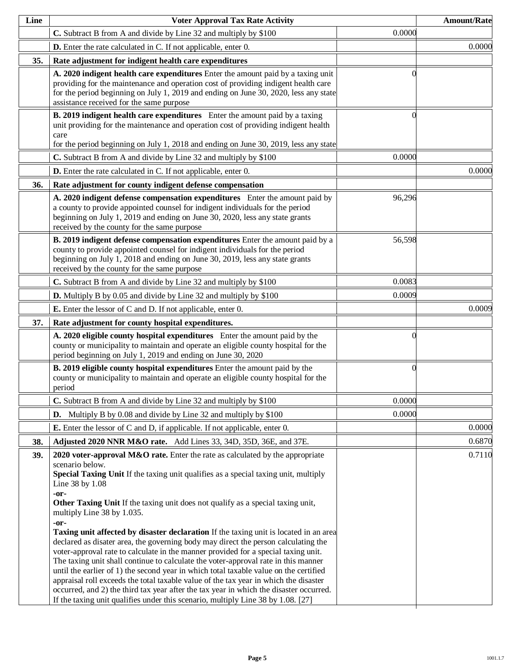| Line | <b>Voter Approval Tax Rate Activity</b>                                                                                                                                                                                                                                                                                                                                                                                                                                                                                                                                                                                                                                                                                                                                                                                                                                                                                                                                                                                                                                   |          | <b>Amount/Rate</b> |
|------|---------------------------------------------------------------------------------------------------------------------------------------------------------------------------------------------------------------------------------------------------------------------------------------------------------------------------------------------------------------------------------------------------------------------------------------------------------------------------------------------------------------------------------------------------------------------------------------------------------------------------------------------------------------------------------------------------------------------------------------------------------------------------------------------------------------------------------------------------------------------------------------------------------------------------------------------------------------------------------------------------------------------------------------------------------------------------|----------|--------------------|
|      | C. Subtract B from A and divide by Line 32 and multiply by \$100                                                                                                                                                                                                                                                                                                                                                                                                                                                                                                                                                                                                                                                                                                                                                                                                                                                                                                                                                                                                          | 0.0000   |                    |
|      | <b>D.</b> Enter the rate calculated in C. If not applicable, enter 0.                                                                                                                                                                                                                                                                                                                                                                                                                                                                                                                                                                                                                                                                                                                                                                                                                                                                                                                                                                                                     |          | 0.0000             |
| 35.  | Rate adjustment for indigent health care expenditures                                                                                                                                                                                                                                                                                                                                                                                                                                                                                                                                                                                                                                                                                                                                                                                                                                                                                                                                                                                                                     |          |                    |
|      | A. 2020 indigent health care expenditures Enter the amount paid by a taxing unit<br>providing for the maintenance and operation cost of providing indigent health care<br>for the period beginning on July 1, 2019 and ending on June 30, 2020, less any state<br>assistance received for the same purpose                                                                                                                                                                                                                                                                                                                                                                                                                                                                                                                                                                                                                                                                                                                                                                |          |                    |
|      | B. 2019 indigent health care expenditures Enter the amount paid by a taxing<br>unit providing for the maintenance and operation cost of providing indigent health<br>care<br>for the period beginning on July 1, 2018 and ending on June 30, 2019, less any state                                                                                                                                                                                                                                                                                                                                                                                                                                                                                                                                                                                                                                                                                                                                                                                                         |          |                    |
|      | C. Subtract B from A and divide by Line 32 and multiply by \$100                                                                                                                                                                                                                                                                                                                                                                                                                                                                                                                                                                                                                                                                                                                                                                                                                                                                                                                                                                                                          | 0.0000   |                    |
|      | D. Enter the rate calculated in C. If not applicable, enter 0.                                                                                                                                                                                                                                                                                                                                                                                                                                                                                                                                                                                                                                                                                                                                                                                                                                                                                                                                                                                                            |          | 0.0000             |
| 36.  | Rate adjustment for county indigent defense compensation                                                                                                                                                                                                                                                                                                                                                                                                                                                                                                                                                                                                                                                                                                                                                                                                                                                                                                                                                                                                                  |          |                    |
|      | A. 2020 indigent defense compensation expenditures Enter the amount paid by<br>a county to provide appointed counsel for indigent individuals for the period<br>beginning on July 1, 2019 and ending on June 30, 2020, less any state grants<br>received by the county for the same purpose                                                                                                                                                                                                                                                                                                                                                                                                                                                                                                                                                                                                                                                                                                                                                                               | 96,296   |                    |
|      | B. 2019 indigent defense compensation expenditures Enter the amount paid by a<br>county to provide appointed counsel for indigent individuals for the period<br>beginning on July 1, 2018 and ending on June 30, 2019, less any state grants<br>received by the county for the same purpose                                                                                                                                                                                                                                                                                                                                                                                                                                                                                                                                                                                                                                                                                                                                                                               | 56,598   |                    |
|      | C. Subtract B from A and divide by Line 32 and multiply by \$100                                                                                                                                                                                                                                                                                                                                                                                                                                                                                                                                                                                                                                                                                                                                                                                                                                                                                                                                                                                                          | 0.0083   |                    |
|      | <b>D.</b> Multiply B by 0.05 and divide by Line 32 and multiply by \$100                                                                                                                                                                                                                                                                                                                                                                                                                                                                                                                                                                                                                                                                                                                                                                                                                                                                                                                                                                                                  | 0.0009   |                    |
|      | <b>E.</b> Enter the lessor of C and D. If not applicable, enter 0.                                                                                                                                                                                                                                                                                                                                                                                                                                                                                                                                                                                                                                                                                                                                                                                                                                                                                                                                                                                                        |          | 0.0009             |
| 37.  | Rate adjustment for county hospital expenditures.                                                                                                                                                                                                                                                                                                                                                                                                                                                                                                                                                                                                                                                                                                                                                                                                                                                                                                                                                                                                                         |          |                    |
|      | A. 2020 eligible county hospital expenditures Enter the amount paid by the<br>county or municipality to maintain and operate an eligible county hospital for the<br>period beginning on July 1, 2019 and ending on June 30, 2020                                                                                                                                                                                                                                                                                                                                                                                                                                                                                                                                                                                                                                                                                                                                                                                                                                          | $\theta$ |                    |
|      | B. 2019 eligible county hospital expenditures Enter the amount paid by the<br>county or municipality to maintain and operate an eligible county hospital for the<br>period                                                                                                                                                                                                                                                                                                                                                                                                                                                                                                                                                                                                                                                                                                                                                                                                                                                                                                | $\theta$ |                    |
|      | C. Subtract B from A and divide by Line 32 and multiply by \$100                                                                                                                                                                                                                                                                                                                                                                                                                                                                                                                                                                                                                                                                                                                                                                                                                                                                                                                                                                                                          | 0.0000   |                    |
|      | <b>D.</b> Multiply B by 0.08 and divide by Line 32 and multiply by $$100$                                                                                                                                                                                                                                                                                                                                                                                                                                                                                                                                                                                                                                                                                                                                                                                                                                                                                                                                                                                                 | 0.0000   |                    |
|      | <b>E.</b> Enter the lessor of C and D, if applicable. If not applicable, enter 0.                                                                                                                                                                                                                                                                                                                                                                                                                                                                                                                                                                                                                                                                                                                                                                                                                                                                                                                                                                                         |          | 0.0000             |
| 38.  | Adjusted 2020 NNR M&O rate. Add Lines 33, 34D, 35D, 36E, and 37E.                                                                                                                                                                                                                                                                                                                                                                                                                                                                                                                                                                                                                                                                                                                                                                                                                                                                                                                                                                                                         |          | 0.6870             |
| 39.  | 2020 voter-approval $M&O$ rate. Enter the rate as calculated by the appropriate<br>scenario below.<br>Special Taxing Unit If the taxing unit qualifies as a special taxing unit, multiply<br>Line 38 by 1.08<br>$-0r-$<br>Other Taxing Unit If the taxing unit does not qualify as a special taxing unit,<br>multiply Line 38 by 1.035.<br>-or-<br>Taxing unit affected by disaster declaration If the taxing unit is located in an area<br>declared as disater area, the governing body may direct the person calculating the<br>voter-approval rate to calculate in the manner provided for a special taxing unit.<br>The taxing unit shall continue to calculate the voter-approval rate in this manner<br>until the earlier of 1) the second year in which total taxable value on the certified<br>appraisal roll exceeds the total taxable value of the tax year in which the disaster<br>occurred, and 2) the third tax year after the tax year in which the disaster occurred.<br>If the taxing unit qualifies under this scenario, multiply Line 38 by 1.08. [27] |          | 0.7110             |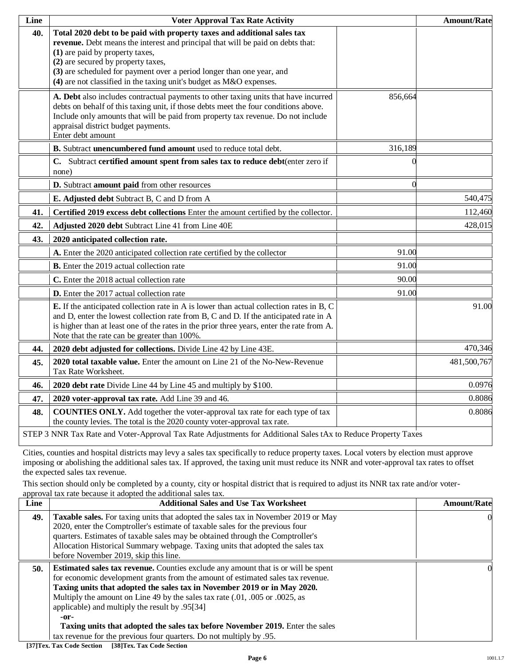| Line | <b>Voter Approval Tax Rate Activity</b>                                                                                                                                                                                                                                                                                                                                             |          | <b>Amount/Rate</b> |
|------|-------------------------------------------------------------------------------------------------------------------------------------------------------------------------------------------------------------------------------------------------------------------------------------------------------------------------------------------------------------------------------------|----------|--------------------|
| 40.  | Total 2020 debt to be paid with property taxes and additional sales tax<br>revenue. Debt means the interest and principal that will be paid on debts that:<br>(1) are paid by property taxes,<br>(2) are secured by property taxes,<br>(3) are scheduled for payment over a period longer than one year, and<br>(4) are not classified in the taxing unit's budget as M&O expenses. |          |                    |
|      | A. Debt also includes contractual payments to other taxing units that have incurred<br>debts on behalf of this taxing unit, if those debts meet the four conditions above.<br>Include only amounts that will be paid from property tax revenue. Do not include<br>appraisal district budget payments.<br>Enter debt amount                                                          | 856,664  |                    |
|      | B. Subtract unencumbered fund amount used to reduce total debt.                                                                                                                                                                                                                                                                                                                     | 316,189  |                    |
|      | C. Subtract certified amount spent from sales tax to reduce debt(enter zero if<br>none)                                                                                                                                                                                                                                                                                             | $\Omega$ |                    |
|      | D. Subtract amount paid from other resources                                                                                                                                                                                                                                                                                                                                        | $\Omega$ |                    |
|      | E. Adjusted debt Subtract B, C and D from A                                                                                                                                                                                                                                                                                                                                         |          | 540,475            |
| 41.  | Certified 2019 excess debt collections Enter the amount certified by the collector.                                                                                                                                                                                                                                                                                                 |          | 112,460            |
| 42.  | Adjusted 2020 debt Subtract Line 41 from Line 40E                                                                                                                                                                                                                                                                                                                                   |          | 428,015            |
| 43.  | 2020 anticipated collection rate.                                                                                                                                                                                                                                                                                                                                                   |          |                    |
|      | A. Enter the 2020 anticipated collection rate certified by the collector                                                                                                                                                                                                                                                                                                            | 91.00    |                    |
|      | <b>B.</b> Enter the 2019 actual collection rate                                                                                                                                                                                                                                                                                                                                     | 91.00    |                    |
|      | C. Enter the 2018 actual collection rate                                                                                                                                                                                                                                                                                                                                            | 90.00    |                    |
|      | D. Enter the 2017 actual collection rate                                                                                                                                                                                                                                                                                                                                            | 91.00    |                    |
|      | <b>E.</b> If the anticipated collection rate in A is lower than actual collection rates in B, C<br>and D, enter the lowest collection rate from B, C and D. If the anticipated rate in A<br>is higher than at least one of the rates in the prior three years, enter the rate from A.<br>Note that the rate can be greater than 100%.                                               |          | 91.00              |
| 44.  | 2020 debt adjusted for collections. Divide Line 42 by Line 43E.                                                                                                                                                                                                                                                                                                                     |          | 470,346            |
| 45.  | 2020 total taxable value. Enter the amount on Line 21 of the No-New-Revenue<br>Tax Rate Worksheet.                                                                                                                                                                                                                                                                                  |          | 481,500,767        |
| 46.  | 2020 debt rate Divide Line 44 by Line 45 and multiply by \$100.                                                                                                                                                                                                                                                                                                                     |          | 0.0976             |
| 47.  | 2020 voter-approval tax rate. Add Line 39 and 46.                                                                                                                                                                                                                                                                                                                                   |          | 0.8086             |
| 48.  | <b>COUNTIES ONLY.</b> Add together the voter-approval tax rate for each type of tax<br>the county levies. The total is the 2020 county voter-approval tax rate.                                                                                                                                                                                                                     |          | 0.8086             |
|      | STEP 3 NNR Tax Rate and Voter-Approval Tax Rate Adjustments for Additional Sales tAx to Reduce Property Taxes                                                                                                                                                                                                                                                                       |          |                    |

Cities, counties and hospital districts may levy a sales tax specifically to reduce property taxes. Local voters by election must approve imposing or abolishing the additional sales tax. If approved, the taxing unit must reduce its NNR and voter-approval tax rates to offset the expected sales tax revenue.

This section should only be completed by a county, city or hospital district that is required to adjust its NNR tax rate and/or voterapproval tax rate because it adopted the additional sales tax.

| Line | <b>Additional Sales and Use Tax Worksheet</b>                                                                                                                                                                                                                                                                                                                                                                                                                                                                                                             | <b>Amount/Rate</b> |
|------|-----------------------------------------------------------------------------------------------------------------------------------------------------------------------------------------------------------------------------------------------------------------------------------------------------------------------------------------------------------------------------------------------------------------------------------------------------------------------------------------------------------------------------------------------------------|--------------------|
| 49.  | Taxable sales. For taxing units that adopted the sales tax in November 2019 or May<br>2020, enter the Comptroller's estimate of taxable sales for the previous four<br>quarters. Estimates of taxable sales may be obtained through the Comptroller's<br>Allocation Historical Summary webpage. Taxing units that adopted the sales tax<br>before November 2019, skip this line.                                                                                                                                                                          |                    |
| 50.  | <b>Estimated sales tax revenue.</b> Counties exclude any amount that is or will be spent<br>for economic development grants from the amount of estimated sales tax revenue.<br>Taxing units that adopted the sales tax in November 2019 or in May 2020.<br>Multiply the amount on Line 49 by the sales tax rate (.01, .005 or .0025, as<br>applicable) and multiply the result by .95[34]<br>-or-<br>Taxing units that adopted the sales tax before November 2019. Enter the sales<br>tax revenue for the previous four quarters. Do not multiply by .95. |                    |

**[37]Tex. Tax Code Section [38]Tex. Tax Code Section**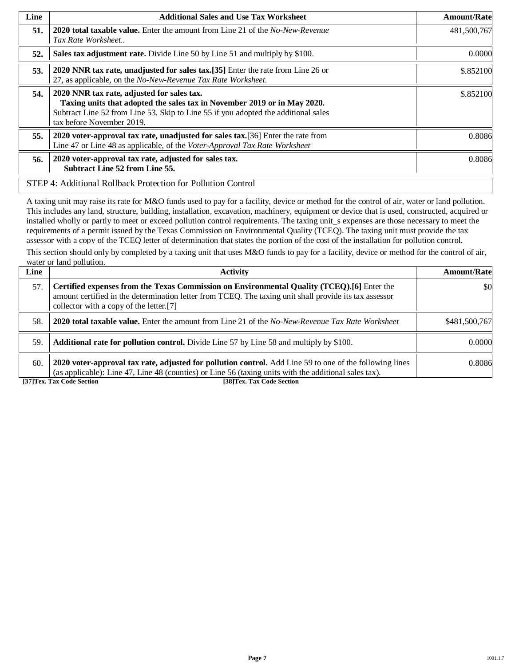| Line | <b>Additional Sales and Use Tax Worksheet</b>                                                                                                                                                                                             | <b>Amount/Rate</b> |
|------|-------------------------------------------------------------------------------------------------------------------------------------------------------------------------------------------------------------------------------------------|--------------------|
| 51.  | <b>2020 total taxable value.</b> Enter the amount from Line 21 of the <i>No-New-Revenue</i><br>Tax Rate Worksheet                                                                                                                         | 481,500,767        |
| 52.  | Sales tax adjustment rate. Divide Line 50 by Line 51 and multiply by \$100.                                                                                                                                                               | 0.0000             |
| 53.  | 2020 NNR tax rate, unadjusted for sales tax.[35] Enter the rate from Line 26 or<br>27, as applicable, on the No-New-Revenue Tax Rate Worksheet.                                                                                           | \$.852100          |
| 54.  | 2020 NNR tax rate, adjusted for sales tax.<br>Taxing units that adopted the sales tax in November 2019 or in May 2020.<br>Subtract Line 52 from Line 53. Skip to Line 55 if you adopted the additional sales<br>tax before November 2019. | \$.852100          |
| 55.  | 2020 voter-approval tax rate, unadjusted for sales tax. [36] Enter the rate from<br>Line 47 or Line 48 as applicable, of the Voter-Approval Tax Rate Worksheet                                                                            | 0.8086             |
| 56.  | 2020 voter-approval tax rate, adjusted for sales tax.<br><b>Subtract Line 52 from Line 55.</b>                                                                                                                                            | 0.8086             |
|      | STEP 4: Additional Rollback Protection for Pollution Control                                                                                                                                                                              |                    |

A taxing unit may raise its rate for M&O funds used to pay for a facility, device or method for the control of air, water or land pollution. This includes any land, structure, building, installation, excavation, machinery, equipment or device that is used, constructed, acquired or installed wholly or partly to meet or exceed pollution control requirements. The taxing unit\_s expenses are those necessary to meet the requirements of a permit issued by the Texas Commission on Environmental Quality (TCEQ). The taxing unit must provide the tax assessor with a copy of the TCEQ letter of determination that states the portion of the cost of the installation for pollution control.

This section should only by completed by a taxing unit that uses M&O funds to pay for a facility, device or method for the control of air, water or land pollution.

| Line | <b>Activity</b>                                                                                                                                                                                                                                 | <b>Amount/Rate</b> |
|------|-------------------------------------------------------------------------------------------------------------------------------------------------------------------------------------------------------------------------------------------------|--------------------|
| 57.  | Certified expenses from the Texas Commission on Environmental Quality (TCEQ).[6] Enter the<br>amount certified in the determination letter from TCEQ. The taxing unit shall provide its tax assessor<br>collector with a copy of the letter.[7] | \$0                |
| 58.  | <b>2020 total taxable value.</b> Enter the amount from Line 21 of the No-New-Revenue Tax Rate Worksheet                                                                                                                                         | \$481,500,767      |
| 59.  | <b>Additional rate for pollution control.</b> Divide Line 57 by Line 58 and multiply by \$100.                                                                                                                                                  | 0.0000             |
| 60.  | 2020 voter-approval tax rate, adjusted for pollution control. Add Line 59 to one of the following lines<br>(as applicable): Line 47, Line 48 (counties) or Line 56 (taxing units with the additional sales tax).                                | 0.8086             |
|      | [37]Tex. Tax Code Section<br>[38]Tex. Tax Code Section                                                                                                                                                                                          |                    |